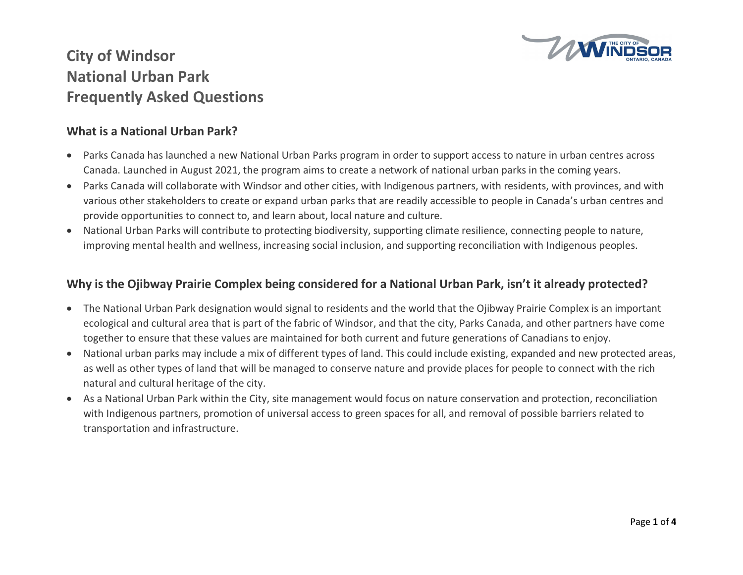

#### What is a National Urban Park?

- Parks Canada has launched a new National Urban Parks program in order to support access to nature in urban centres across Canada. Launched in August 2021, the program aims to create a network of national urban parks in the coming years.
- Parks Canada will collaborate with Windsor and other cities, with Indigenous partners, with residents, with provinces, and with various other stakeholders to create or expand urban parks that are readily accessible to people in Canada's urban centres and provide opportunities to connect to, and learn about, local nature and culture.
- National Urban Parks will contribute to protecting biodiversity, supporting climate resilience, connecting people to nature, improving mental health and wellness, increasing social inclusion, and supporting reconciliation with Indigenous peoples.

#### Why is the Ojibway Prairie Complex being considered for a National Urban Park, isn't it already protected?

- The National Urban Park designation would signal to residents and the world that the Ojibway Prairie Complex is an important ecological and cultural area that is part of the fabric of Windsor, and that the city, Parks Canada, and other partners have come together to ensure that these values are maintained for both current and future generations of Canadians to enjoy.
- National urban parks may include a mix of different types of land. This could include existing, expanded and new protected areas, as well as other types of land that will be managed to conserve nature and provide places for people to connect with the rich natural and cultural heritage of the city.
- As a National Urban Park within the City, site management would focus on nature conservation and protection, reconciliation with Indigenous partners, promotion of universal access to green spaces for all, and removal of possible barriers related to transportation and infrastructure.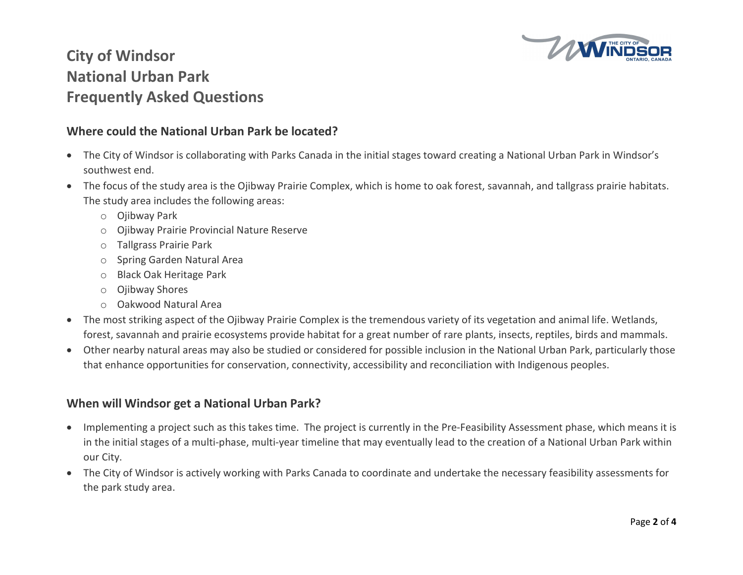

#### Where could the National Urban Park be located?

- The City of Windsor is collaborating with Parks Canada in the initial stages toward creating a National Urban Park in Windsor's southwest end.
- The focus of the study area is the Ojibway Prairie Complex, which is home to oak forest, savannah, and tallgrass prairie habitats. The study area includes the following areas:
	- o Ojibway Park
	- o Ojibway Prairie Provincial Nature Reserve
	- o Tallgrass Prairie Park
	- o Spring Garden Natural Area
	- o Black Oak Heritage Park
	- o Ojibway Shores
	- o Oakwood Natural Area
- The most striking aspect of the Ojibway Prairie Complex is the tremendous variety of its vegetation and animal life. Wetlands, forest, savannah and prairie ecosystems provide habitat for a great number of rare plants, insects, reptiles, birds and mammals.
- Other nearby natural areas may also be studied or considered for possible inclusion in the National Urban Park, particularly those that enhance opportunities for conservation, connectivity, accessibility and reconciliation with Indigenous peoples.

### When will Windsor get a National Urban Park?

- Implementing a project such as this takes time. The project is currently in the Pre-Feasibility Assessment phase, which means it is in the initial stages of a multi-phase, multi-year timeline that may eventually lead to the creation of a National Urban Park within our City.
- The City of Windsor is actively working with Parks Canada to coordinate and undertake the necessary feasibility assessments for the park study area.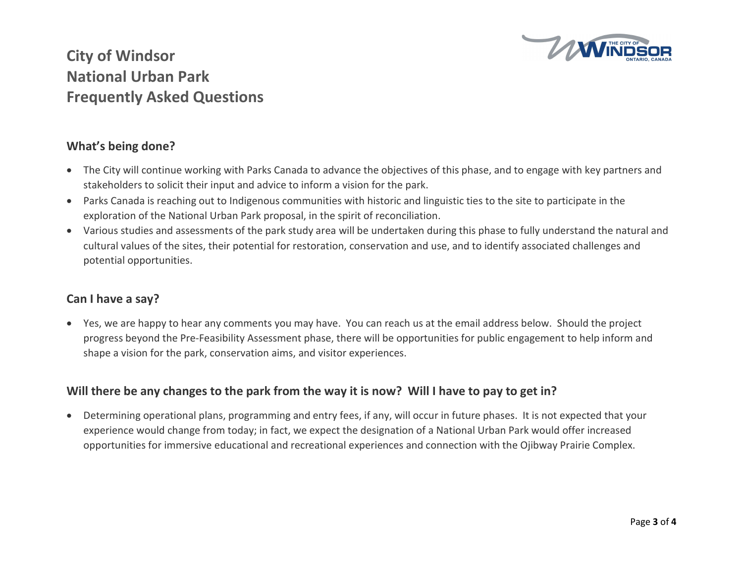

#### What's being done?

- The City will continue working with Parks Canada to advance the objectives of this phase, and to engage with key partners and stakeholders to solicit their input and advice to inform a vision for the park.
- Parks Canada is reaching out to Indigenous communities with historic and linguistic ties to the site to participate in the exploration of the National Urban Park proposal, in the spirit of reconciliation.
- Various studies and assessments of the park study area will be undertaken during this phase to fully understand the natural and cultural values of the sites, their potential for restoration, conservation and use, and to identify associated challenges and potential opportunities.

### Can I have a say?

 Yes, we are happy to hear any comments you may have. You can reach us at the email address below. Should the project progress beyond the Pre-Feasibility Assessment phase, there will be opportunities for public engagement to help inform and shape a vision for the park, conservation aims, and visitor experiences.

### Will there be any changes to the park from the way it is now? Will I have to pay to get in?

 Determining operational plans, programming and entry fees, if any, will occur in future phases. It is not expected that your experience would change from today; in fact, we expect the designation of a National Urban Park would offer increased opportunities for immersive educational and recreational experiences and connection with the Ojibway Prairie Complex.